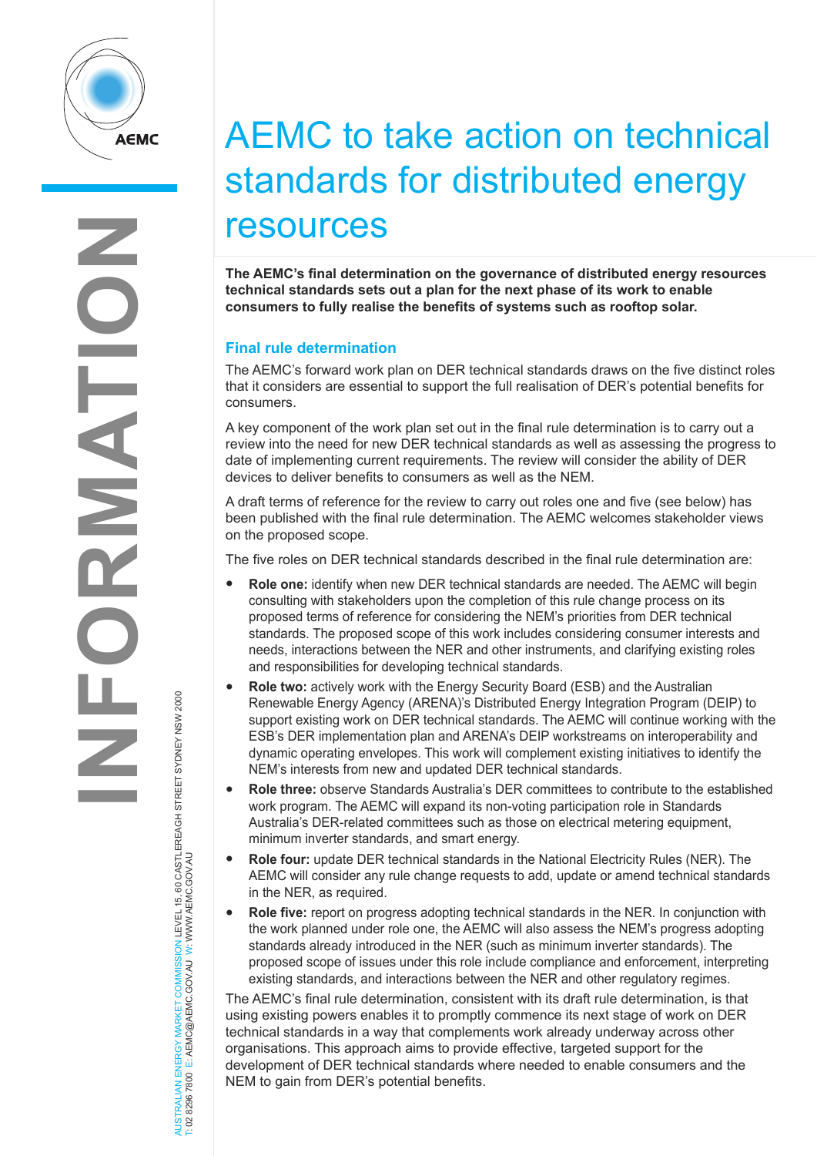

AUSTRALIAN ENERGY MARKET COMMISSION LEVEL 15, 60 CASTLEREAGH STREET SYDNEY NSW 2000

JERGY MARKET COMMISSION LEVEL 15, 60 CASTLEREAGH STREET SYDNEY NSW 2000<br>E: AEMC@AEMC.GOV.AU W: WWW.AEMC.GOV.AU

T: 02 8296 7800 E: AEMC@AEMC.GOV.AU W: WWW.AEMC.GOV.AU

AUSTRALIAN ENERGY MARKET

## AEMC to take action on technical standards for distributed energy resources

**The AEMC's final determination on the governance of distributed energy resources technical standards sets out a plan for the next phase of its work to enable consumers to fully realise the benefits of systems such as rooftop solar.** 

## **Final rule determination**

The AEMC's forward work plan on DER technical standards draws on the five distinct roles that it considers are essential to support the full realisation of DER's potential benefits for consumers.

A key component of the work plan set out in the final rule determination is to carry out a review into the need for new DER technical standards as well as assessing the progress to date of implementing current requirements. The review will consider the ability of DER devices to deliver benefits to consumers as well as the NEM.

A draft terms of reference for the review to carry out roles one and five (see below) has been published with the final rule determination. The AEMC welcomes stakeholder views on the proposed scope.

The five roles on DER technical standards described in the final rule determination are:

- **Role one:** identify when new DER technical standards are needed. The AEMC will begin consulting with stakeholders upon the completion of this rule change process on its proposed terms of reference for considering the NEM's priorities from DER technical standards. The proposed scope of this work includes considering consumer interests and needs, interactions between the NER and other instruments, and clarifying existing roles and responsibilities for developing technical standards.
- **Role two:** actively work with the Energy Security Board (ESB) and the Australian Renewable Energy Agency (ARENA)'s Distributed Energy Integration Program (DEIP) to support existing work on DER technical standards. The AEMC will continue working with the ESB's DER implementation plan and ARENA's DEIP workstreams on interoperability and dynamic operating envelopes. This work will complement existing initiatives to identify the NEM's interests from new and updated DER technical standards.
- **Role three:** observe Standards Australia's DER committees to contribute to the established work program. The AEMC will expand its non-voting participation role in Standards Australia's DER-related committees such as those on electrical metering equipment, minimum inverter standards, and smart energy.
- **Role four:** update DER technical standards in the National Electricity Rules (NER). The AEMC will consider any rule change requests to add, update or amend technical standards in the NER, as required.
- **Role five:** report on progress adopting technical standards in the NER. In conjunction with the work planned under role one, the AEMC will also assess the NEM's progress adopting standards already introduced in the NER (such as minimum inverter standards). The proposed scope of issues under this role include compliance and enforcement, interpreting existing standards, and interactions between the NER and other regulatory regimes.

The AEMC's final rule determination, consistent with its draft rule determination, is that using existing powers enables it to promptly commence its next stage of work on DER technical standards in a way that complements work already underway across other organisations. This approach aims to provide effective, targeted support for the development of DER technical standards where needed to enable consumers and the NEM to gain from DER's potential benefits.